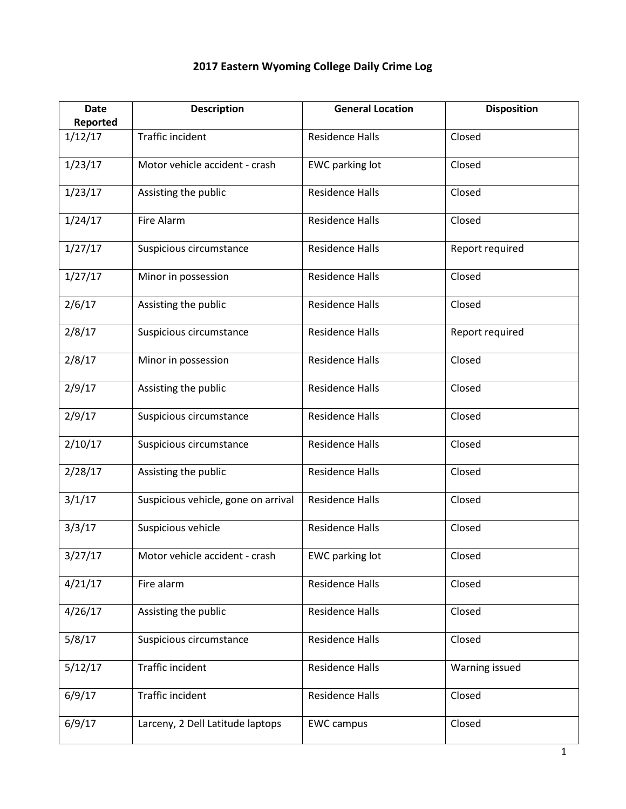| <b>Date</b>         | <b>Description</b>                  | <b>General Location</b> | <b>Disposition</b> |
|---------------------|-------------------------------------|-------------------------|--------------------|
| Reported<br>1/12/17 | <b>Traffic incident</b>             | <b>Residence Halls</b>  | Closed             |
|                     |                                     |                         |                    |
| 1/23/17             | Motor vehicle accident - crash      | <b>EWC</b> parking lot  | Closed             |
| 1/23/17             | Assisting the public                | <b>Residence Halls</b>  | Closed             |
| 1/24/17             | Fire Alarm                          | <b>Residence Halls</b>  | Closed             |
| 1/27/17             | Suspicious circumstance             | <b>Residence Halls</b>  | Report required    |
| 1/27/17             | Minor in possession                 | <b>Residence Halls</b>  | Closed             |
| 2/6/17              | Assisting the public                | <b>Residence Halls</b>  | Closed             |
| 2/8/17              | Suspicious circumstance             | <b>Residence Halls</b>  | Report required    |
| 2/8/17              | Minor in possession                 | <b>Residence Halls</b>  | Closed             |
| 2/9/17              | Assisting the public                | <b>Residence Halls</b>  | Closed             |
| 2/9/17              | Suspicious circumstance             | <b>Residence Halls</b>  | Closed             |
| 2/10/17             | Suspicious circumstance             | <b>Residence Halls</b>  | Closed             |
| 2/28/17             | Assisting the public                | <b>Residence Halls</b>  | Closed             |
| 3/1/17              | Suspicious vehicle, gone on arrival | <b>Residence Halls</b>  | Closed             |
| 3/3/17              | Suspicious vehicle                  | <b>Residence Halls</b>  | Closed             |
| 3/27/17             | Motor vehicle accident - crash      | EWC parking lot         | Closed             |
| 4/21/17             | Fire alarm                          | <b>Residence Halls</b>  | Closed             |
| 4/26/17             | Assisting the public                | <b>Residence Halls</b>  | Closed             |
| 5/8/17              | Suspicious circumstance             | <b>Residence Halls</b>  | Closed             |
| 5/12/17             | <b>Traffic incident</b>             | <b>Residence Halls</b>  | Warning issued     |
| 6/9/17              | Traffic incident                    | <b>Residence Halls</b>  | Closed             |
| 6/9/17              | Larceny, 2 Dell Latitude laptops    | <b>EWC campus</b>       | Closed             |

## **2017 Eastern Wyoming College Daily Crime Log**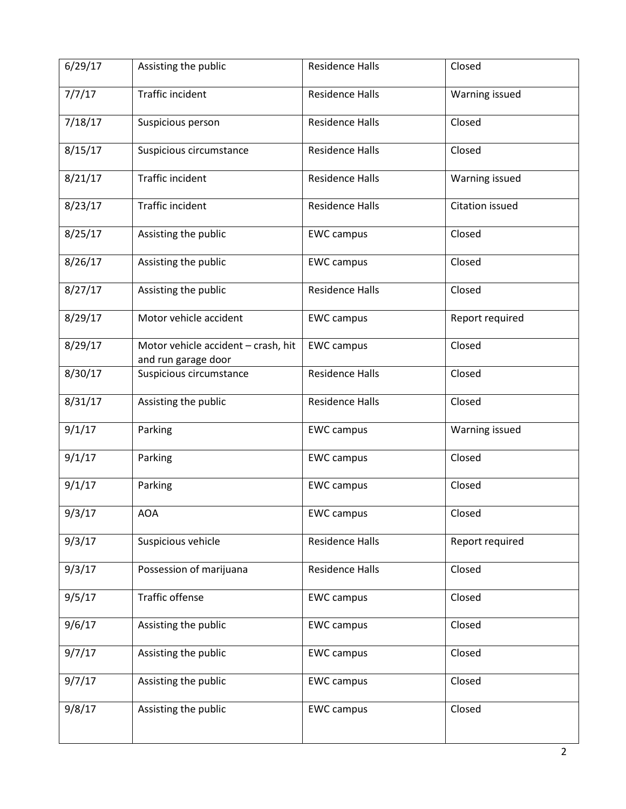| 6/29/17 | Assisting the public                                       | <b>Residence Halls</b> | Closed          |
|---------|------------------------------------------------------------|------------------------|-----------------|
| 7/7/17  | Traffic incident                                           | <b>Residence Halls</b> | Warning issued  |
| 7/18/17 | Suspicious person                                          | <b>Residence Halls</b> | Closed          |
| 8/15/17 | Suspicious circumstance                                    | <b>Residence Halls</b> | Closed          |
| 8/21/17 | Traffic incident                                           | <b>Residence Halls</b> | Warning issued  |
| 8/23/17 | Traffic incident                                           | <b>Residence Halls</b> | Citation issued |
| 8/25/17 | Assisting the public                                       | <b>EWC</b> campus      | Closed          |
| 8/26/17 | Assisting the public                                       | <b>EWC</b> campus      | Closed          |
| 8/27/17 | Assisting the public                                       | <b>Residence Halls</b> | Closed          |
| 8/29/17 | Motor vehicle accident                                     | <b>EWC</b> campus      | Report required |
| 8/29/17 | Motor vehicle accident - crash, hit<br>and run garage door | <b>EWC campus</b>      | Closed          |
| 8/30/17 | Suspicious circumstance                                    | <b>Residence Halls</b> | Closed          |
| 8/31/17 | Assisting the public                                       | <b>Residence Halls</b> | Closed          |
| 9/1/17  | Parking                                                    | <b>EWC</b> campus      | Warning issued  |
| 9/1/17  | Parking                                                    | <b>EWC</b> campus      | Closed          |
| 9/1/17  | Parking                                                    | <b>EWC campus</b>      | Closed          |
| 9/3/17  | AOA                                                        | <b>EWC campus</b>      | Closed          |
| 9/3/17  | Suspicious vehicle                                         | <b>Residence Halls</b> | Report required |
| 9/3/17  | Possession of marijuana                                    | <b>Residence Halls</b> | Closed          |
| 9/5/17  | <b>Traffic offense</b>                                     | <b>EWC campus</b>      | Closed          |
| 9/6/17  | Assisting the public                                       | <b>EWC campus</b>      | Closed          |
| 9/7/17  | Assisting the public                                       | <b>EWC campus</b>      | Closed          |
| 9/7/17  | Assisting the public                                       | <b>EWC campus</b>      | Closed          |
| 9/8/17  | Assisting the public                                       | <b>EWC campus</b>      | Closed          |
|         |                                                            |                        |                 |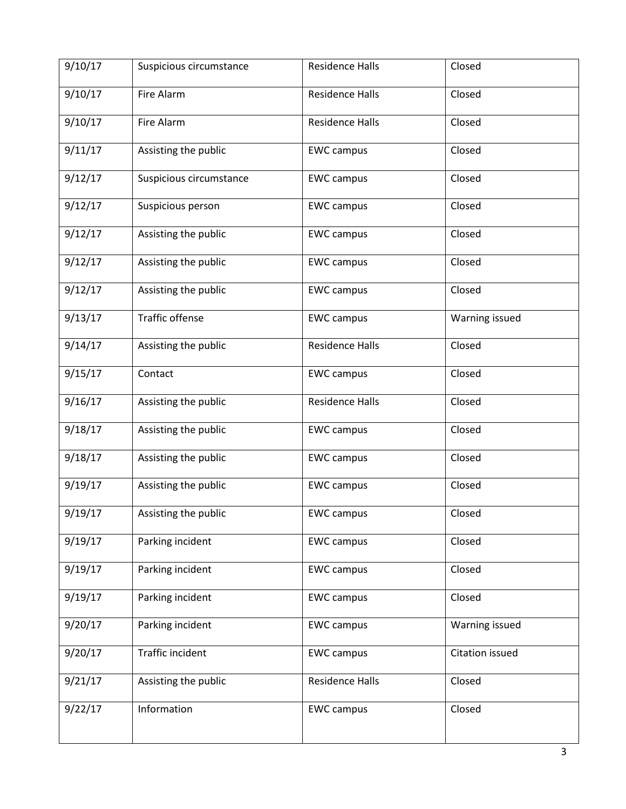| 9/10/17              | Suspicious circumstance | <b>Residence Halls</b> | Closed          |
|----------------------|-------------------------|------------------------|-----------------|
| 9/10/17              | Fire Alarm              | <b>Residence Halls</b> | Closed          |
| 9/10/17              | Fire Alarm              | <b>Residence Halls</b> | Closed          |
| 9/11/17              | Assisting the public    | <b>EWC campus</b>      | Closed          |
| 9/12/17              | Suspicious circumstance | <b>EWC campus</b>      | Closed          |
| 9/12/17              | Suspicious person       | <b>EWC campus</b>      | Closed          |
| $\overline{9}/12/17$ | Assisting the public    | <b>EWC campus</b>      | Closed          |
| 9/12/17              | Assisting the public    | <b>EWC campus</b>      | Closed          |
| 9/12/17              | Assisting the public    | <b>EWC campus</b>      | Closed          |
| 9/13/17              | <b>Traffic offense</b>  | <b>EWC campus</b>      | Warning issued  |
| 9/14/17              | Assisting the public    | <b>Residence Halls</b> | Closed          |
| 9/15/17              | Contact                 | <b>EWC campus</b>      | Closed          |
| 9/16/17              | Assisting the public    | <b>Residence Halls</b> | Closed          |
| 9/18/17              | Assisting the public    | <b>EWC campus</b>      | Closed          |
| 9/18/17              | Assisting the public    | <b>EWC campus</b>      | Closed          |
| 9/19/17              | Assisting the public    | <b>EWC campus</b>      | Closed          |
| 9/19/17              | Assisting the public    | <b>EWC campus</b>      | Closed          |
| 9/19/17              | Parking incident        | <b>EWC campus</b>      | Closed          |
| 9/19/17              | Parking incident        | <b>EWC campus</b>      | Closed          |
| 9/19/17              | Parking incident        | <b>EWC campus</b>      | Closed          |
| 9/20/17              | Parking incident        | <b>EWC</b> campus      | Warning issued  |
| 9/20/17              | Traffic incident        | <b>EWC campus</b>      | Citation issued |
| 9/21/17              | Assisting the public    | <b>Residence Halls</b> | Closed          |
| 9/22/17              | Information             | <b>EWC campus</b>      | Closed          |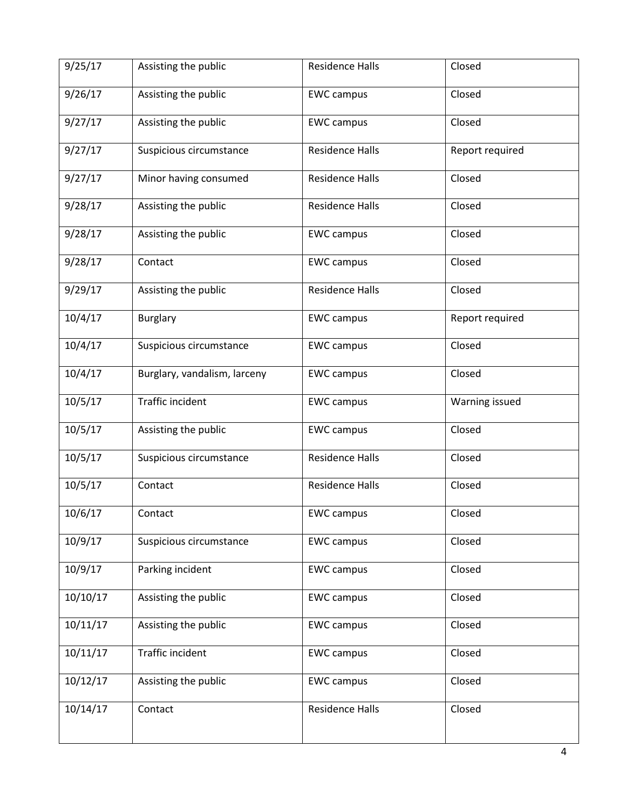| 9/25/17  | Assisting the public         | <b>Residence Halls</b> | Closed          |
|----------|------------------------------|------------------------|-----------------|
| 9/26/17  | Assisting the public         | <b>EWC campus</b>      | Closed          |
| 9/27/17  | Assisting the public         | <b>EWC campus</b>      | Closed          |
| 9/27/17  | Suspicious circumstance      | <b>Residence Halls</b> | Report required |
| 9/27/17  | Minor having consumed        | <b>Residence Halls</b> | Closed          |
| 9/28/17  | Assisting the public         | <b>Residence Halls</b> | Closed          |
| 9/28/17  | Assisting the public         | <b>EWC campus</b>      | Closed          |
| 9/28/17  | Contact                      | <b>EWC campus</b>      | Closed          |
| 9/29/17  | Assisting the public         | <b>Residence Halls</b> | Closed          |
| 10/4/17  | <b>Burglary</b>              | <b>EWC campus</b>      | Report required |
| 10/4/17  | Suspicious circumstance      | <b>EWC campus</b>      | Closed          |
| 10/4/17  | Burglary, vandalism, larceny | <b>EWC campus</b>      | Closed          |
| 10/5/17  | Traffic incident             | <b>EWC campus</b>      | Warning issued  |
| 10/5/17  | Assisting the public         | <b>EWC campus</b>      | Closed          |
| 10/5/17  | Suspicious circumstance      | <b>Residence Halls</b> | Closed          |
| 10/5/17  | Contact                      | <b>Residence Halls</b> | Closed          |
| 10/6/17  | Contact                      | <b>EWC campus</b>      | Closed          |
| 10/9/17  | Suspicious circumstance      | <b>EWC campus</b>      | Closed          |
| 10/9/17  | Parking incident             | <b>EWC campus</b>      | Closed          |
| 10/10/17 | Assisting the public         | <b>EWC campus</b>      | Closed          |
| 10/11/17 | Assisting the public         | <b>EWC campus</b>      | Closed          |
| 10/11/17 | Traffic incident             | <b>EWC campus</b>      | Closed          |
| 10/12/17 | Assisting the public         | <b>EWC campus</b>      | Closed          |
| 10/14/17 | Contact                      | Residence Halls        | Closed          |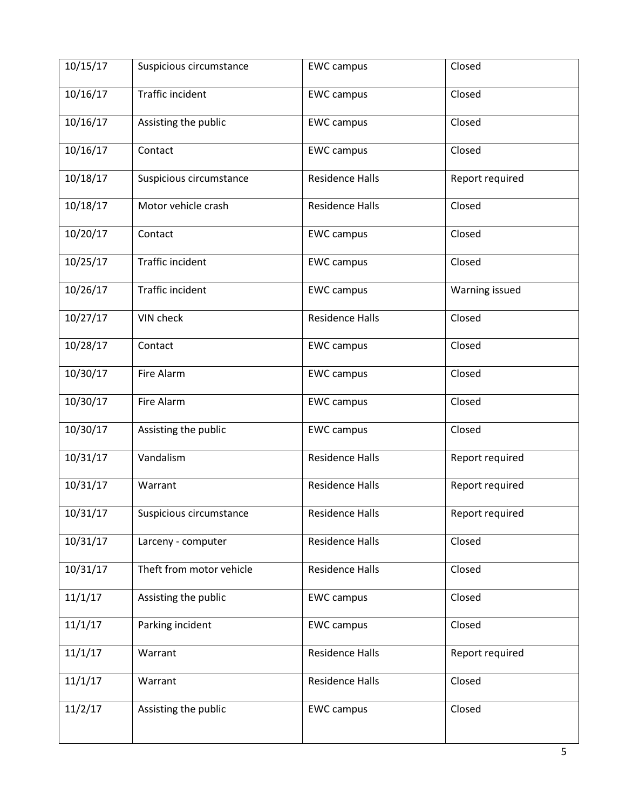| 10/15/17 | Suspicious circumstance  | <b>EWC campus</b>      | Closed          |
|----------|--------------------------|------------------------|-----------------|
| 10/16/17 | Traffic incident         | <b>EWC</b> campus      | Closed          |
| 10/16/17 | Assisting the public     | <b>EWC campus</b>      | Closed          |
| 10/16/17 | Contact                  | <b>EWC campus</b>      | Closed          |
| 10/18/17 | Suspicious circumstance  | <b>Residence Halls</b> | Report required |
| 10/18/17 | Motor vehicle crash      | <b>Residence Halls</b> | Closed          |
| 10/20/17 | Contact                  | <b>EWC campus</b>      | Closed          |
| 10/25/17 | Traffic incident         | <b>EWC campus</b>      | Closed          |
| 10/26/17 | Traffic incident         | <b>EWC campus</b>      | Warning issued  |
| 10/27/17 | VIN check                | <b>Residence Halls</b> | Closed          |
| 10/28/17 | Contact                  | <b>EWC campus</b>      | Closed          |
| 10/30/17 | Fire Alarm               | <b>EWC campus</b>      | Closed          |
| 10/30/17 | Fire Alarm               | <b>EWC campus</b>      | Closed          |
| 10/30/17 | Assisting the public     | <b>EWC campus</b>      | Closed          |
| 10/31/17 | Vandalism                | <b>Residence Halls</b> | Report required |
| 10/31/17 | Warrant                  | <b>Residence Halls</b> | Report required |
| 10/31/17 | Suspicious circumstance  | Residence Halls        | Report required |
| 10/31/17 | Larceny - computer       | <b>Residence Halls</b> | Closed          |
| 10/31/17 | Theft from motor vehicle | <b>Residence Halls</b> | Closed          |
| 11/1/17  | Assisting the public     | <b>EWC campus</b>      | Closed          |
| 11/1/17  | Parking incident         | <b>EWC campus</b>      | Closed          |
| 11/1/17  | Warrant                  | <b>Residence Halls</b> | Report required |
| 11/1/17  | Warrant                  | <b>Residence Halls</b> | Closed          |
| 11/2/17  | Assisting the public     | <b>EWC campus</b>      | Closed          |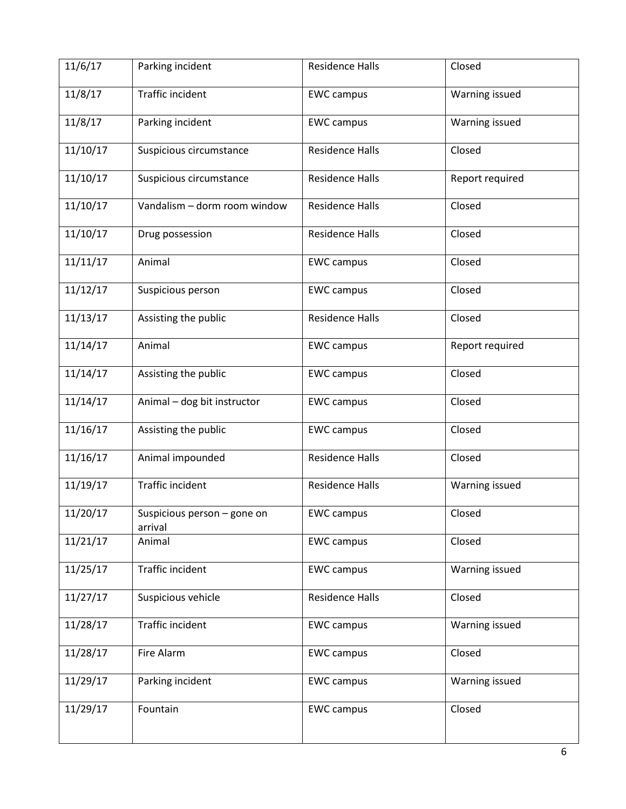| 11/6/17  | Parking incident                       | <b>Residence Halls</b> | Closed          |
|----------|----------------------------------------|------------------------|-----------------|
| 11/8/17  | Traffic incident                       | <b>EWC campus</b>      | Warning issued  |
| 11/8/17  | Parking incident                       | <b>EWC campus</b>      | Warning issued  |
| 11/10/17 | Suspicious circumstance                | <b>Residence Halls</b> | Closed          |
| 11/10/17 | Suspicious circumstance                | <b>Residence Halls</b> | Report required |
| 11/10/17 | Vandalism - dorm room window           | <b>Residence Halls</b> | Closed          |
| 11/10/17 | Drug possession                        | <b>Residence Halls</b> | Closed          |
| 11/11/17 | Animal                                 | <b>EWC campus</b>      | Closed          |
| 11/12/17 | Suspicious person                      | <b>EWC campus</b>      | Closed          |
| 11/13/17 | Assisting the public                   | <b>Residence Halls</b> | Closed          |
| 11/14/17 | Animal                                 | <b>EWC campus</b>      | Report required |
| 11/14/17 | Assisting the public                   | <b>EWC campus</b>      | Closed          |
| 11/14/17 | Animal - dog bit instructor            | <b>EWC campus</b>      | Closed          |
| 11/16/17 | Assisting the public                   | <b>EWC campus</b>      | Closed          |
| 11/16/17 | Animal impounded                       | <b>Residence Halls</b> | Closed          |
| 11/19/17 | Traffic incident                       | <b>Residence Halls</b> | Warning issued  |
| 11/20/17 | Suspicious person - gone on<br>arrival | <b>EWC campus</b>      | Closed          |
| 11/21/17 | Animal                                 | <b>EWC</b> campus      | Closed          |
| 11/25/17 | Traffic incident                       | <b>EWC campus</b>      | Warning issued  |
| 11/27/17 | Suspicious vehicle                     | Residence Halls        | Closed          |
| 11/28/17 | Traffic incident                       | <b>EWC campus</b>      | Warning issued  |
| 11/28/17 | Fire Alarm                             | <b>EWC campus</b>      | Closed          |
| 11/29/17 | Parking incident                       | <b>EWC campus</b>      | Warning issued  |
| 11/29/17 | Fountain                               | <b>EWC campus</b>      | Closed          |